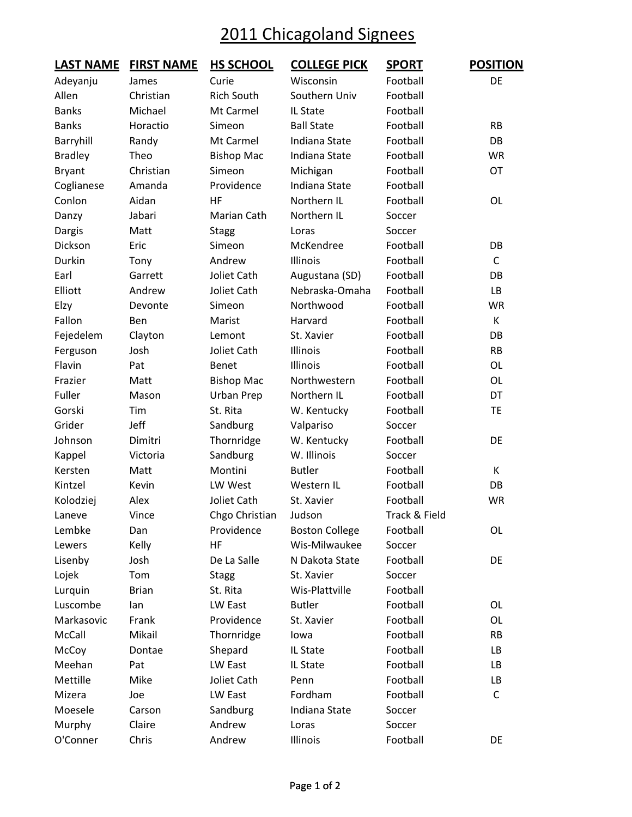## 2011 Chicagoland Signees

| <u>LAST NAME</u> | <b>FIRST NAME</b> | <b>HS SCHOOL</b>  | <b>COLLEGE PICK</b>   | <b>SPORT</b>  | <b>POSITION</b> |
|------------------|-------------------|-------------------|-----------------------|---------------|-----------------|
| Adeyanju         | James             | Curie             | Wisconsin             | Football      | DE              |
| Allen            | Christian         | <b>Rich South</b> | Southern Univ         | Football      |                 |
| <b>Banks</b>     | Michael           | Mt Carmel         | IL State              | Football      |                 |
| <b>Banks</b>     | Horactio          | Simeon            | <b>Ball State</b>     | Football      | <b>RB</b>       |
| Barryhill        | Randy             | Mt Carmel         | Indiana State         | Football      | DB              |
| <b>Bradley</b>   | Theo              | <b>Bishop Mac</b> | Indiana State         | Football      | <b>WR</b>       |
| <b>Bryant</b>    | Christian         | Simeon            | Michigan              | Football      | OT              |
| Coglianese       | Amanda            | Providence        | Indiana State         | Football      |                 |
| Conlon           | Aidan             | HF                | Northern IL           | Football      | OL              |
| Danzy            | Jabari            | Marian Cath       | Northern IL           | Soccer        |                 |
| Dargis           | Matt              | <b>Stagg</b>      | Loras                 | Soccer        |                 |
| Dickson          | Eric              | Simeon            | McKendree             | Football      | DB              |
| Durkin           | Tony              | Andrew            | Illinois              | Football      | C               |
| Earl             | Garrett           | Joliet Cath       | Augustana (SD)        | Football      | DB              |
| Elliott          | Andrew            | Joliet Cath       | Nebraska-Omaha        | Football      | LB              |
| Elzy             | Devonte           | Simeon            | Northwood             | Football      | <b>WR</b>       |
| Fallon           | Ben               | Marist            | Harvard               | Football      | K               |
| Fejedelem        | Clayton           | Lemont            | St. Xavier            | Football      | DB              |
| Ferguson         | Josh              | Joliet Cath       | Illinois              | Football      | <b>RB</b>       |
| Flavin           | Pat               | Benet             | Illinois              | Football      | OL              |
| Frazier          | Matt              | <b>Bishop Mac</b> | Northwestern          | Football      | OL              |
| Fuller           | Mason             | Urban Prep        | Northern IL           | Football      | DT              |
| Gorski           | Tim               | St. Rita          | W. Kentucky           | Football      | TE              |
| Grider           | Jeff              | Sandburg          | Valpariso             | Soccer        |                 |
| Johnson          | Dimitri           | Thornridge        | W. Kentucky           | Football      | DE              |
| Kappel           | Victoria          | Sandburg          | W. Illinois           | Soccer        |                 |
| Kersten          | Matt              | Montini           | <b>Butler</b>         | Football      | K               |
| Kintzel          | Kevin             | LW West           | Western IL            | Football      | DB              |
| Kolodziej        | Alex              | Joliet Cath       | St. Xavier            | Football      | <b>WR</b>       |
| Laneve           | Vince             | Chgo Christian    | Judson                | Track & Field |                 |
| Lembke           | Dan               | Providence        | <b>Boston College</b> | Football      | OL              |
| Lewers           | Kelly             | HF                | Wis-Milwaukee         | Soccer        |                 |
| Lisenby          | Josh              | De La Salle       | N Dakota State        | Football      | DE              |
| Lojek            | Tom               | <b>Stagg</b>      | St. Xavier            | Soccer        |                 |
| Lurquin          | <b>Brian</b>      | St. Rita          | Wis-Plattville        | Football      |                 |
| Luscombe         | lan               | LW East           | <b>Butler</b>         | Football      | OL              |
| Markasovic       | Frank             | Providence        | St. Xavier            | Football      | OL              |
| McCall           | Mikail            | Thornridge        | lowa                  | Football      | RB              |
| McCoy            | Dontae            | Shepard           | IL State              | Football      | LB              |
| Meehan           | Pat               | LW East           | IL State              | Football      | LB              |
| Mettille         | Mike              | Joliet Cath       | Penn                  | Football      | LB              |
| Mizera           | Joe               | LW East           | Fordham               | Football      | C               |
| Moesele          | Carson            | Sandburg          | Indiana State         | Soccer        |                 |
| Murphy           | Claire            | Andrew            | Loras                 | Soccer        |                 |
| O'Conner         | Chris             | Andrew            | Illinois              | Football      | DE              |
|                  |                   |                   |                       |               |                 |